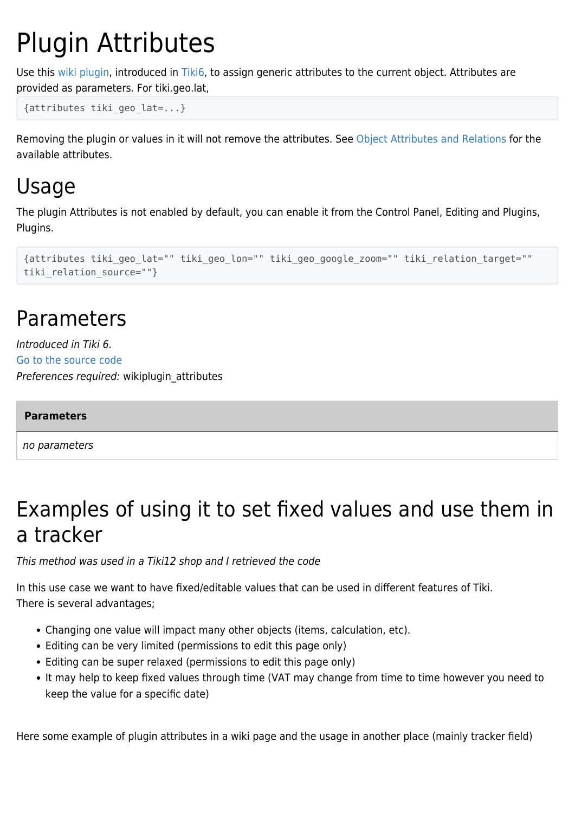# Plugin Attributes

Use this [wiki plugin](https://doc.tiki.org/wiki%20plugin), introduced in [Tiki6,](https://doc.tiki.org/Tiki6) to assign generic attributes to the current object. Attributes are provided as parameters. For tiki.geo.lat,

{attributes tiki\_geo\_lat=...}

Removing the plugin or values in it will not remove the attributes. See [Object Attributes and Relations](http://dev.tiki.org/Object%20Attributes%20and%20Relations) for the available attributes.

# Usage

The plugin Attributes is not enabled by default, you can enable it from the Control Panel, Editing and Plugins, Plugins.

```
{attributes tiki_geo_lat="" tiki_geo_lon="" tiki_geo_google_zoom="" tiki_relation_target=""
tiki relation source=""}
```
# Parameters

Introduced in Tiki 6. [Go to the source code](https://gitlab.com/tikiwiki/tiki/-/blob/master/lib/wiki-plugins/wikiplugin_attributes.php) Preferences required: wikiplugin\_attributes

#### **Parameters**

no parameters

# Examples of using it to set fixed values and use them in a tracker

This method was used in a Tiki12 shop and I retrieved the code

In this use case we want to have fixed/editable values that can be used in different features of Tiki. There is several advantages;

- Changing one value will impact many other objects (items, calculation, etc).
- Editing can be very limited (permissions to edit this page only)
- Editing can be super relaxed (permissions to edit this page only)
- It may help to keep fixed values through time (VAT may change from time to time however you need to keep the value for a specific date)

Here some example of plugin attributes in a wiki page and the usage in another place (mainly tracker field)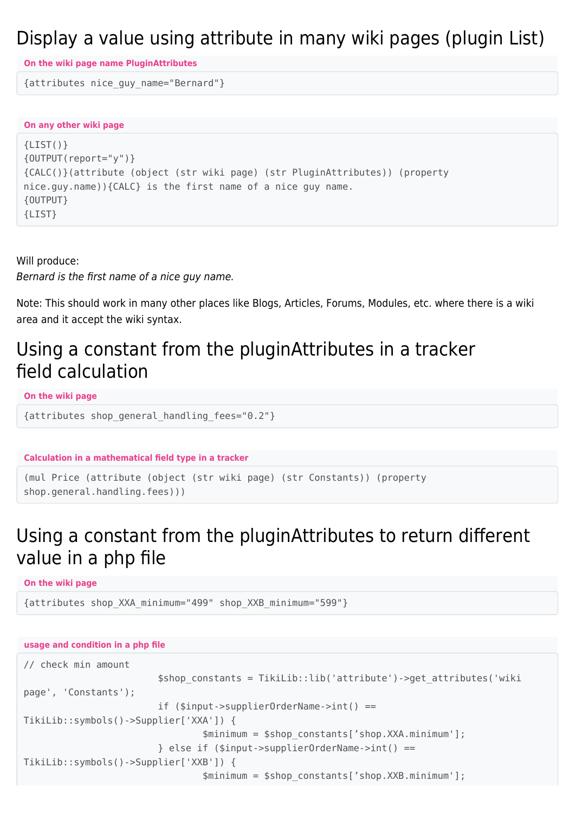#### Display a value using attribute in many wiki pages (plugin List)

**On the wiki page name PluginAttributes**

{attributes nice\_guy\_name="Bernard"}

**On any other wiki page**

```
{LIST()}
{OUTPUT(report="y")}
{CALC()}(attribute (object (str wiki page) (str PluginAttributes)) (property
nice.guy.name)){CALC} is the first name of a nice guy name.
{OUTPUT}
{LIST}
```
Will produce: Bernard is the first name of a nice guy name.

Note: This should work in many other places like Blogs, Articles, Forums, Modules, etc. where there is a wiki area and it accept the wiki syntax.

#### Using a constant from the pluginAttributes in a tracker field calculation

**On the wiki page**

```
{attributes shop_general_handling_fees="0.2"}
```
**Calculation in a mathematical field type in a tracker**

```
(mul Price (attribute (object (str wiki page) (str Constants)) (property
shop.general.handling.fees)))
```
### Using a constant from the pluginAttributes to return different value in a php file

**On the wiki page**

{attributes shop\_XXA\_minimum="499" shop\_XXB\_minimum="599"}

#### **usage and condition in a php file**

```
// check min amount
                         $shop_constants = TikiLib::lib('attribute')->get_attributes('wiki
page', 'Constants');
                         if ($input->supplierOrderName->int() ==
TikiLib::symbols()->Supplier['XXA']) {
                                 $minimum = $shop_constants['shop.XXA.minimum'];
                         } else if ($input->supplierOrderName->int() ==
TikiLib::symbols()->Supplier['XXB']) {
                                 $minimum = $shop_constants['shop.XXB.minimum'];
```